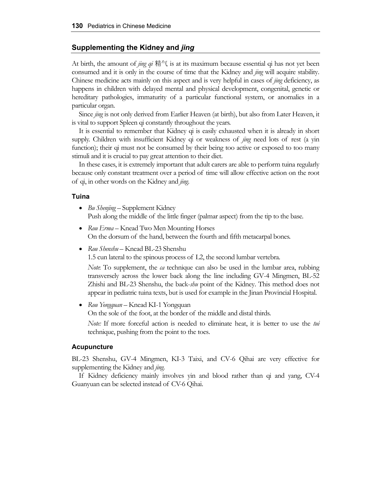## **Supplementing the Kidney and** *jing*

At birth, the amount of *jing qi* 精气 is at its maximum because essential qi has not yet been consumed and it is only in the course of time that the Kidney and *jing* will acquire stability. Chinese medicine acts mainly on this aspect and is very helpful in cases of *jing* deficiency, as happens in children with delayed mental and physical development, congenital, genetic or hereditary pathologies, immaturity of a particular functional system, or anomalies in a particular organ.

Since *jing* is not only derived from Earlier Heaven (at birth), but also from Later Heaven, it is vital to support Spleen qi constantly throughout the years.

It is essential to remember that Kidney qi is easily exhausted when it is already in short supply. Children with insufficient Kidney qi or weakness of *jing* need lots of rest (a yin function); their qi must not be consumed by their being too active or exposed to too many stimuli and it is crucial to pay great attention to their diet.

In these cases, it is extremely important that adult carers are able to perform tuina regularly because only constant treatment over a period of time will allow effective action on the root of qi, in other words on the Kidney and *jing*.

### **Tuina**

- *Bu Shenjing* Supplement Kidney Push along the middle of the little finger (palmar aspect) from the tip to the base.
- *Rou Erma* Knead Two Men Mounting Horses On the dorsum of the hand, between the fourth and fifth metacarpal bones.
- *Rou Shenshu* Knead BL-23 Shenshu

1.5 cun lateral to the spinous process of L2, the second lumbar vertebra.

*Note*: To supplement, the *ca* technique can also be used in the lumbar area, rubbing transversely across the lower back along the line including GV-4 Mingmen, BL-52 Zhishi and BL-23 Shenshu, the back-*shu* point of the Kidney. This method does not appear in pediatric tuina texts, but is used for example in the Jinan Provincial Hospital.

• *Rou Yongquan* – Knead KI-1 Yongquan On the sole of the foot, at the border of the middle and distal thirds.

*Note:* If more forceful action is needed to eliminate heat, it is better to use the *tui* technique, pushing from the point to the toes.

#### **Acupuncture**

BL-23 Shenshu, GV-4 Mingmen, KI-3 Taixi, and CV-6 Qihai are very effective for supplementing the Kidney and *jing*.

If Kidney deficiency mainly involves yin and blood rather than qi and yang, CV-4 Guanyuan can be selected instead of CV-6 Qihai.